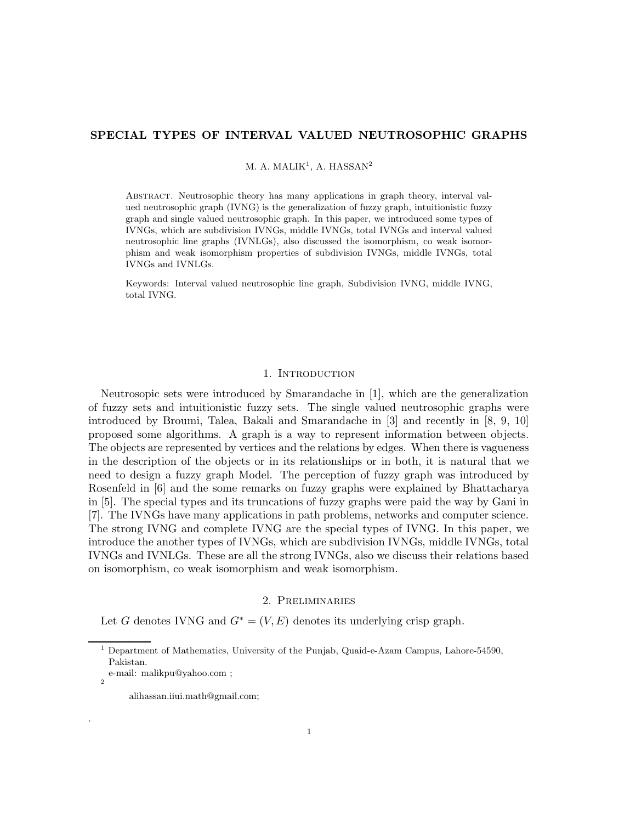# SPECIAL TYPES OF INTERVAL VALUED NEUTROSOPHIC GRAPHS

M. A. MALIK<sup>1</sup>, A. HASSAN<sup>2</sup>

Abstract. Neutrosophic theory has many applications in graph theory, interval valued neutrosophic graph (IVNG) is the generalization of fuzzy graph, intuitionistic fuzzy graph and single valued neutrosophic graph. In this paper, we introduced some types of IVNGs, which are subdivision IVNGs, middle IVNGs, total IVNGs and interval valued neutrosophic line graphs (IVNLGs), also discussed the isomorphism, co weak isomorphism and weak isomorphism properties of subdivision IVNGs, middle IVNGs, total IVNGs and IVNLGs.

Keywords: Interval valued neutrosophic line graph, Subdivision IVNG, middle IVNG, total IVNG.

#### 1. INTRODUCTION

Neutrosopic sets were introduced by Smarandache in [1], which are the generalization of fuzzy sets and intuitionistic fuzzy sets. The single valued neutrosophic graphs were introduced by Broumi, Talea, Bakali and Smarandache in [3] and recently in [8, 9, 10] proposed some algorithms. A graph is a way to represent information between objects. The objects are represented by vertices and the relations by edges. When there is vagueness in the description of the objects or in its relationships or in both, it is natural that we need to design a fuzzy graph Model. The perception of fuzzy graph was introduced by Rosenfeld in [6] and the some remarks on fuzzy graphs were explained by Bhattacharya in [5]. The special types and its truncations of fuzzy graphs were paid the way by Gani in [7]. The IVNGs have many applications in path problems, networks and computer science. The strong IVNG and complete IVNG are the special types of IVNG. In this paper, we introduce the another types of IVNGs, which are subdivision IVNGs, middle IVNGs, total IVNGs and IVNLGs. These are all the strong IVNGs, also we discuss their relations based on isomorphism, co weak isomorphism and weak isomorphism.

## 2. Preliminaries

Let G denotes IVNG and  $G^* = (V, E)$  denotes its underlying crisp graph.

.

<sup>1</sup> Department of Mathematics, University of the Punjab, Quaid-e-Azam Campus, Lahore-54590, Pakistan.

e-mail: malikpu@yahoo.com ; 2

alihassan.iiui.math@gmail.com;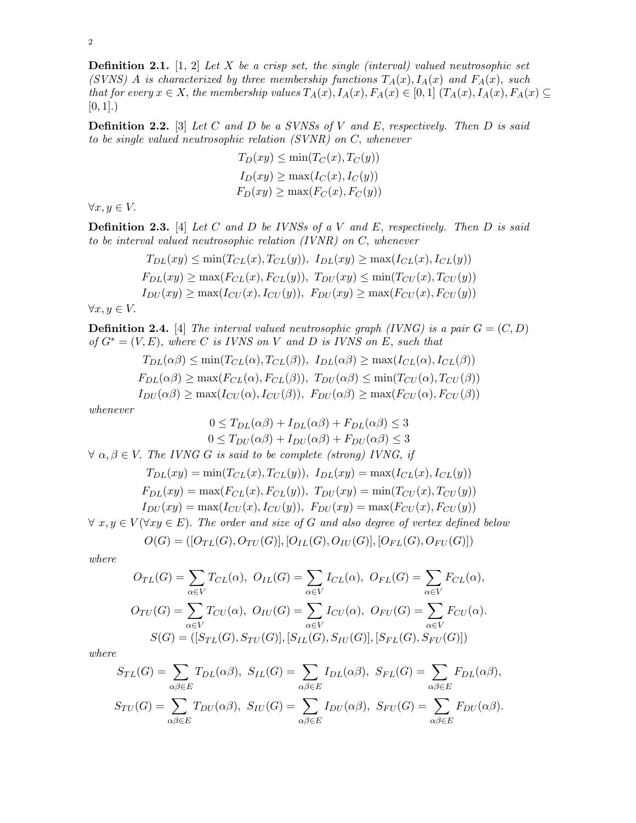**Definition 2.1.** [1, 2] Let X be a crisp set, the single (interval) valued neutrosophic set (SVNS) A is characterized by three membership functions  $T_A(x)$ ,  $I_A(x)$  and  $F_A(x)$ , such that for every  $x \in X$ , the membership values  $T_A(x)$ ,  $I_A(x)$ ,  $F_A(x) \in [0,1]$   $(T_A(x), I_A(x), F_A(x) \subseteq$  $[0, 1]$ .)

**Definition 2.2.** [3] Let C and D be a SVNSs of V and E, respectively. Then D is said to be single valued neutrosophic relation (SVNR) on C, whenever

$$
T_D(xy) \le \min(T_C(x), T_C(y))
$$
  
\n
$$
I_D(xy) \ge \max(I_C(x), I_C(y))
$$
  
\n
$$
F_D(xy) \ge \max(F_C(x), F_C(y))
$$

 $\forall x, y \in V.$ 

**Definition 2.3.** [4] Let C and D be IVNSs of a V and E, respectively. Then D is said to be interval valued neutrosophic relation (IVNR) on C, whenever

$$
T_{DL}(xy) \le \min(T_{CL}(x), T_{CL}(y)), \ I_{DL}(xy) \ge \max(I_{CL}(x), I_{CL}(y))
$$
  
\n
$$
F_{DL}(xy) \ge \max(F_{CL}(x), F_{CL}(y)), \ T_{DU}(xy) \le \min(T_{CU}(x), T_{CU}(y))
$$
  
\n
$$
I_{DU}(xy) \ge \max(I_{CU}(x), I_{CU}(y)), \ F_{DU}(xy) \ge \max(F_{CU}(x), F_{CU}(y))
$$

 $\forall x, y \in V.$ 

**Definition 2.4.** [4] The interval valued neutrosophic graph (IVNG) is a pair  $G = (C, D)$ of  $G^* = (V, E)$ , where C is IVNS on V and D is IVNS on E, such that

$$
T_{DL}(\alpha\beta) \le \min(T_{CL}(\alpha), T_{CL}(\beta)), \ I_{DL}(\alpha\beta) \ge \max(I_{CL}(\alpha), I_{CL}(\beta))
$$
  
\n
$$
F_{DL}(\alpha\beta) \ge \max(F_{CL}(\alpha), F_{CL}(\beta)), \ T_{DU}(\alpha\beta) \le \min(T_{CU}(\alpha), T_{CU}(\beta))
$$
  
\n
$$
I_{DU}(\alpha\beta) \ge \max(I_{CU}(\alpha), I_{CU}(\beta)), \ F_{DU}(\alpha\beta) \ge \max(F_{CU}(\alpha), F_{CU}(\beta))
$$

whenever

$$
0 \le T_{DL}(\alpha \beta) + I_{DL}(\alpha \beta) + F_{DL}(\alpha \beta) \le 3
$$
  

$$
0 \le T_{DU}(\alpha \beta) + I_{DU}(\alpha \beta) + F_{DU}(\alpha \beta) \le 3
$$

 $\forall \alpha, \beta \in V$ . The IVNG G is said to be complete (strong) IVNG, if

$$
T_{DL}(xy) = \min(T_{CL}(x), T_{CL}(y)), \ I_{DL}(xy) = \max(I_{CL}(x), I_{CL}(y))
$$

$$
F_{DL}(xy) = \max(F_{CL}(x), F_{CL}(y)), \ T_{DU}(xy) = \min(T_{CU}(x), T_{CU}(y))
$$

$$
I_{DU}(xy) = \max(I_{CU}(x), I_{CU}(y)), \ F_{DU}(xy) = \max(F_{CU}(x), F_{CU}(y))
$$

 $\forall x, y \in V(\forall xy \in E)$ . The order and size of G and also degree of vertex defined below

$$
O(G) = ([O_{TL}(G), O_{TU}(G)], [O_{IL}(G), O_{IU}(G)], [O_{FL}(G), O_{FU}(G)])
$$

where

$$
O_{TL}(G) = \sum_{\alpha \in V} T_{CL}(\alpha), \quad O_{IL}(G) = \sum_{\alpha \in V} I_{CL}(\alpha), \quad O_{FL}(G) = \sum_{\alpha \in V} F_{CL}(\alpha),
$$

$$
O_{TU}(G) = \sum_{\alpha \in V} T_{CU}(\alpha), \quad O_{IU}(G) = \sum_{\alpha \in V} I_{CU}(\alpha), \quad O_{FU}(G) = \sum_{\alpha \in V} F_{CU}(\alpha).
$$

$$
S(G) = ([S_{TL}(G), S_{TU}(G)], [S_{IL}(G), S_{IU}(G)], [S_{FL}(G), S_{FU}(G)])
$$

where

$$
S_{TL}(G) = \sum_{\alpha\beta\in E} T_{DL}(\alpha\beta), \ S_{IL}(G) = \sum_{\alpha\beta\in E} I_{DL}(\alpha\beta), \ S_{FL}(G) = \sum_{\alpha\beta\in E} F_{DL}(\alpha\beta),
$$

$$
S_{TU}(G) = \sum_{\alpha\beta\in E} T_{DU}(\alpha\beta), \ S_{IU}(G) = \sum_{\alpha\beta\in E} I_{DU}(\alpha\beta), \ S_{FU}(G) = \sum_{\alpha\beta\in E} F_{DU}(\alpha\beta).
$$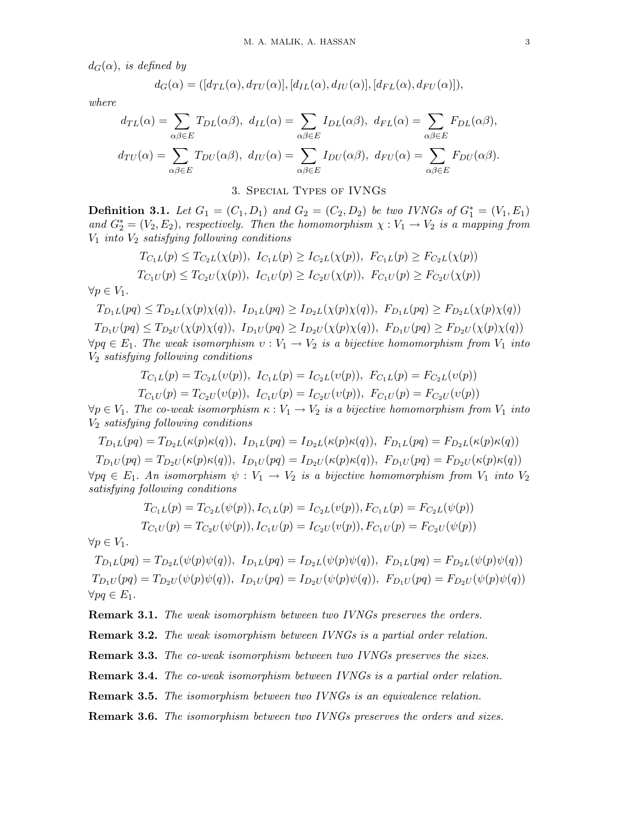$d_G(\alpha)$ , is defined by

$$
d_G(\alpha) = ([d_{TL}(\alpha), d_{TU}(\alpha)], [d_{IL}(\alpha), d_{IU}(\alpha)], [d_{FL}(\alpha), d_{FU}(\alpha)]),
$$

where

$$
d_{TL}(\alpha) = \sum_{\alpha\beta\in E} T_{DL}(\alpha\beta), \ d_{IL}(\alpha) = \sum_{\alpha\beta\in E} I_{DL}(\alpha\beta), \ d_{FL}(\alpha) = \sum_{\alpha\beta\in E} F_{DL}(\alpha\beta),
$$

$$
d_{TU}(\alpha) = \sum_{\alpha\beta\in E} T_{DU}(\alpha\beta), \ d_{IU}(\alpha) = \sum_{\alpha\beta\in E} I_{DU}(\alpha\beta), \ d_{FU}(\alpha) = \sum_{\alpha\beta\in E} F_{DU}(\alpha\beta).
$$

3. Special Types of IVNGs

**Definition 3.1.** Let  $G_1 = (C_1, D_1)$  and  $G_2 = (C_2, D_2)$  be two IVNGs of  $G_1^* = (V_1, E_1)$ and  $G_2^* = (V_2, E_2)$ , respectively. Then the homomorphism  $\chi : V_1 \to V_2$  is a mapping from  $V_1$  into  $V_2$  satisfying following conditions

$$
T_{C_1L}(p) \leq T_{C_2L}(\chi(p)), \ I_{C_1L}(p) \geq I_{C_2L}(\chi(p)), \ F_{C_1L}(p) \geq F_{C_2L}(\chi(p))
$$
  

$$
T_{C_1U}(p) \leq T_{C_2U}(\chi(p)), \ I_{C_1U}(p) \geq I_{C_2U}(\chi(p)), \ F_{C_1U}(p) \geq F_{C_2U}(\chi(p))
$$

 $\forall p \in V_1$ .

$$
T_{D_1L}(pq) \leq T_{D_2L}(\chi(p)\chi(q)), \ I_{D_1L}(pq) \geq I_{D_2L}(\chi(p)\chi(q)), \ F_{D_1L}(pq) \geq F_{D_2L}(\chi(p)\chi(q))
$$

 $T_{D_1U}(pq) \leq T_{D_2U}(\chi(p)\chi(q)), \ I_{D_1U}(pq) \geq I_{D_2U}(\chi(p)\chi(q)), \ F_{D_1U}(pq) \geq F_{D_2U}(\chi(p)\chi(q))$  $\forall pq \in E_1$ . The weak isomorphism  $v: V_1 \to V_2$  is a bijective homomorphism from  $V_1$  into V<sup>2</sup> satisfying following conditions

$$
T_{C_1L}(p) = T_{C_2L}(v(p)), \ I_{C_1L}(p) = I_{C_2L}(v(p)), \ F_{C_1L}(p) = F_{C_2L}(v(p))
$$

$$
T_{C_1U}(p) = T_{C_2U}(v(p)), \ I_{C_1U}(p) = I_{C_2U}(v(p)), \ F_{C_1U}(p) = F_{C_2U}(v(p))
$$

 $\forall p \in V_1$ . The co-weak isomorphism  $\kappa : V_1 \to V_2$  is a bijective homomorphism from  $V_1$  into  $V_2$  satisfying following conditions

 $T_{D_1L}(pq) = T_{D_2L}(\kappa(p)\kappa(q)), I_{D_1L}(pq) = I_{D_2L}(\kappa(p)\kappa(q)), F_{D_1L}(pq) = F_{D_2L}(\kappa(p)\kappa(q))$  $T_{D_1U}(pq) = T_{D_2U}(\kappa(p)\kappa(q)), \ I_{D_1U}(pq) = I_{D_2U}(\kappa(p)\kappa(q)), \ F_{D_1U}(pq) = F_{D_2U}(\kappa(p)\kappa(q))$  $\forall pq \in E_1$ . An isomorphism  $\psi: V_1 \to V_2$  is a bijective homomorphism from  $V_1$  into  $V_2$ 

satisfying following conditions

$$
T_{C_1L}(p) = T_{C_2L}(\psi(p)), I_{C_1L}(p) = I_{C_2L}(v(p)), F_{C_1L}(p) = F_{C_2L}(\psi(p))
$$
  

$$
T_{C_1U}(p) = T_{C_2U}(\psi(p)), I_{C_1U}(p) = I_{C_2U}(v(p)), F_{C_1U}(p) = F_{C_2U}(\psi(p))
$$

 $\forall p \in V_1$ .

 $T_{D_1L}(pq) = T_{D_2L}(\psi(p)\psi(q)), \ I_{D_1L}(pq) = I_{D_2L}(\psi(p)\psi(q)), \ F_{D_1L}(pq) = F_{D_2L}(\psi(p)\psi(q))$  $T_{D_1U}(pq) = T_{D_2U}(\psi(p)\psi(q)), \ I_{D_1U}(pq) = I_{D_2U}(\psi(p)\psi(q)), \ F_{D_1U}(pq) = F_{D_2U}(\psi(p)\psi(q))$  $\forall pq \in E_1.$ 

Remark 3.1. The weak isomorphism between two IVNGs preserves the orders.

Remark 3.2. The weak isomorphism between IVNGs is a partial order relation.

**Remark 3.3.** The co-weak isomorphism between two IVNGs preserves the sizes.

Remark 3.4. The co-weak isomorphism between IVNGs is a partial order relation.

**Remark 3.5.** The isomorphism between two IVNGs is an equivalence relation.

Remark 3.6. The isomorphism between two IVNGs preserves the orders and sizes.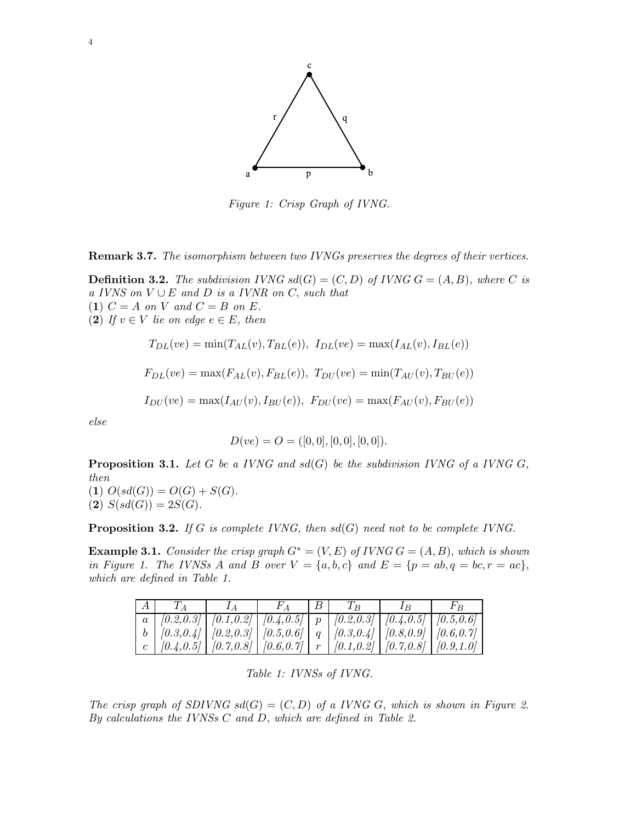

Figure 1: Crisp Graph of IVNG.

Remark 3.7. The isomorphism between two IVNGs preserves the degrees of their vertices.

**Definition 3.2.** The subdivision IVNG  $sd(G) = (C, D)$  of IVNG  $G = (A, B)$ , where C is a IVNS on  $V \cup E$  and D is a IVNR on C, such that (1)  $C = A$  on V and  $C = B$  on E. (2) If  $v \in V$  lie on edge  $e \in E$ , then

$$
T_{DL}(ve) = \min(T_{AL}(v), T_{BL}(e)), \ I_{DL}(ve) = \max(I_{AL}(v), I_{BL}(e))
$$

$$
F_{DL}(ve) = \max(F_{AL}(v), F_{BL}(e)), T_{DU}(ve) = \min(T_{AU}(v), T_{BU}(e))
$$

$$
I_{DU}(ve) = \max(I_{AU}(v), I_{BU}(e)), F_{DU}(ve) = \max(F_{AU}(v), F_{BU}(e))
$$

else

$$
D(ve) = O = ([0, 0], [0, 0], [0, 0]).
$$

**Proposition 3.1.** Let G be a IVNG and  $sd(G)$  be the subdivision IVNG of a IVNG G, then

(1)  $O(s d(G)) = O(G) + S(G)$ . (2)  $S(sd(G)) = 2S(G)$ .

**Proposition 3.2.** If G is complete IVNG, then  $sd(G)$  need not to be complete IVNG.

**Example 3.1.** Consider the crisp graph  $G^* = (V, E)$  of IVNG  $G = (A, B)$ , which is shown in Figure 1. The IVNSs A and B over  $V = \{a, b, c\}$  and  $E = \{p = ab, q = bc, r = ac\},\$ which are defined in Table 1.

| $\mathsf{A}$ | $T_A$                                                                                             |  | $\mid$ $F_A$ $\mid$ $B$ $\mid$ $T_B$ | $F_R$ |
|--------------|---------------------------------------------------------------------------------------------------|--|--------------------------------------|-------|
|              |                                                                                                   |  |                                      |       |
|              |                                                                                                   |  |                                      |       |
|              | c   $[0.4, 0.5]$   $[0.7, 0.8]$   $[0.6, 0.7]$   $r$   $[0.1, 0.2]$   $[0.7, 0.8]$   $[0.9, 1.0]$ |  |                                      |       |

Table 1: IVNSs of IVNG.

The crisp graph of SDIVNG  $sd(G) = (C, D)$  of a IVNG G, which is shown in Figure 2. By calculations the IVNSs  $C$  and  $D$ , which are defined in Table 2.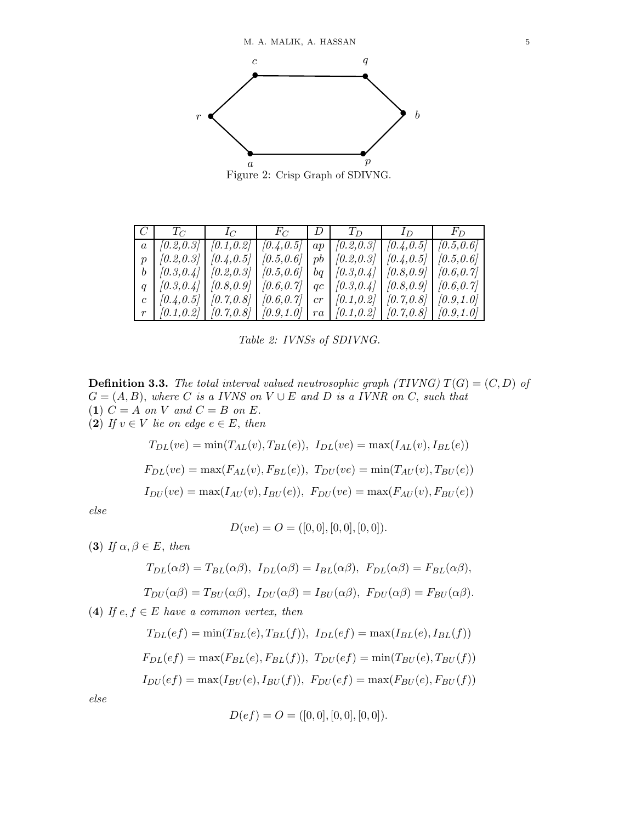

Figure 2: Crisp Graph of SDIVNG.

|                                                                                                             |  |  | $C \begin{array}{c c c c c c c c c} C & T_C & T_C & D & T_D & D & I_D & F_D \end{array}$                         |
|-------------------------------------------------------------------------------------------------------------|--|--|------------------------------------------------------------------------------------------------------------------|
| $a \mid [0.2, 0.3] \mid [0.1, 0.2] \mid [0.4, 0.5] \mid ap \mid [0.2, 0.3] \mid [0.4, 0.5] \mid [0.5, 0.6]$ |  |  |                                                                                                                  |
| $p \mid [0.2, 0.3] \mid [0.4, 0.5] \mid [0.5, 0.6] \mid pb \mid [0.2, 0.3] \mid [0.4, 0.5] \mid [0.5, 0.6]$ |  |  |                                                                                                                  |
| $b \mid [0.3, 0.4] \mid [0.2, 0.3] \mid [0.5, 0.6] \mid bq \mid [0.3, 0.4] \mid [0.8, 0.9] \mid [0.6, 0.7]$ |  |  |                                                                                                                  |
| $q \mid [0.3, 0.4] \mid [0.8, 0.9] \mid [0.6, 0.7] \mid qc \mid [0.3, 0.4] \mid [0.8, 0.9] \mid [0.6, 0.7]$ |  |  |                                                                                                                  |
| c   $[0.4, 0.5]$   $[0.7, 0.8]$   $[0.6, 0.7]$   $cr$   $[0.1, 0.2]$   $[0.7, 0.8]$   $[0.9, 1.0]$          |  |  |                                                                                                                  |
|                                                                                                             |  |  | $r \mid [0.1, 0.2] \mid [0.7, 0.8] \mid [0.9, 1.0] \mid ra \mid [0.1, 0.2] \mid [0.7, 0.8] \mid [0.9, 1.0] \mid$ |

Table 2: IVNSs of SDIVNG.

**Definition 3.3.** The total interval valued neutrosophic graph (TIVNG)  $T(G) = (C, D)$  of  $G = (A, B)$ , where C is a IVNS on  $V \cup E$  and D is a IVNR on C, such that (1)  $C = A$  on V and  $C = B$  on E.

(2) If 
$$
v \in V
$$
 lie on edge  $e \in E$ , then

$$
T_{DL}(ve) = \min(T_{AL}(v), T_{BL}(e)), \ I_{DL}(ve) = \max(I_{AL}(v), I_{BL}(e))
$$

$$
F_{DL}(ve) = \max(F_{AL}(v), F_{BL}(e)), \ T_{DU}(ve) = \min(T_{AU}(v), T_{BU}(e))
$$

$$
I_{DU}(ve) = \max(I_{AU}(v), I_{BU}(e)), \ F_{DU}(ve) = \max(F_{AU}(v), F_{BU}(e))
$$

else

$$
D(ve) = O = ([0, 0], [0, 0], [0, 0]).
$$

(3) If  $\alpha, \beta \in E$ , then

$$
T_{DL}(\alpha\beta) = T_{BL}(\alpha\beta), I_{DL}(\alpha\beta) = I_{BL}(\alpha\beta), F_{DL}(\alpha\beta) = F_{BL}(\alpha\beta),
$$

$$
T_{DU}(\alpha\beta) = T_{BU}(\alpha\beta), I_{DU}(\alpha\beta) = I_{BU}(\alpha\beta), F_{DU}(\alpha\beta) = F_{BU}(\alpha\beta).
$$

(4) If  $e, f \in E$  have a common vertex, then

$$
T_{DL}(ef) = \min(T_{BL}(e), T_{BL}(f)), \ I_{DL}(ef) = \max(I_{BL}(e), I_{BL}(f))
$$

$$
F_{DL}(ef) = \max(F_{BL}(e), F_{BL}(f)), \ T_{DU}(ef) = \min(T_{BU}(e), T_{BU}(f))
$$

$$
I_{DU}(ef) = \max(I_{BU}(e), I_{BU}(f)), \ F_{DU}(ef) = \max(F_{BU}(e), F_{BU}(f))
$$

else

$$
D(ef) = O = ([0, 0], [0, 0], [0, 0]).
$$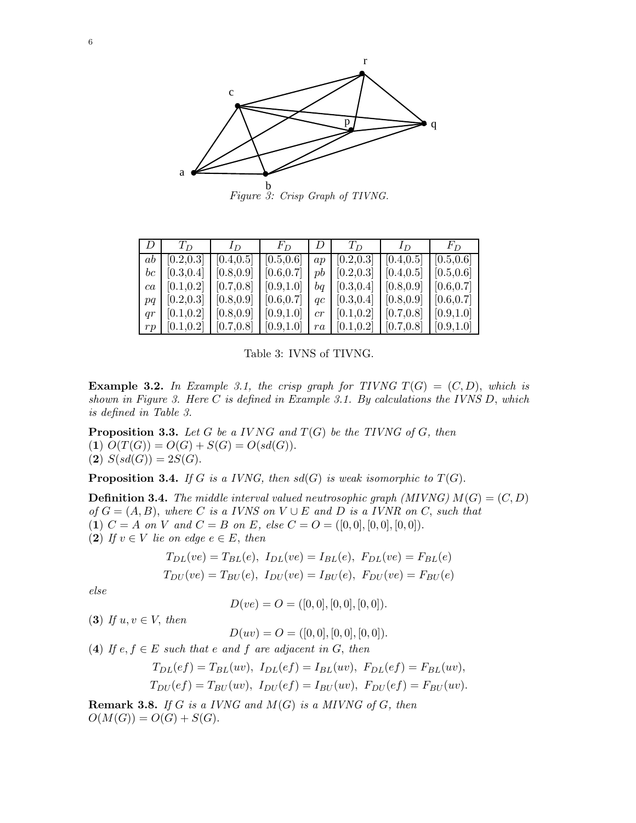

Figure 3: Crisp Graph of TIVNG.

|    | $T_D$                                                                                                                                                                | $I_D$ | $F_D$   $D$   $T_D$ |  | $\Box$ $I_D$ | $F_D$ |
|----|----------------------------------------------------------------------------------------------------------------------------------------------------------------------|-------|---------------------|--|--------------|-------|
|    | ab $\mid$ [0.2,0.3] $\mid$ [0.4,0.5] $\mid$ [0.5,0.6] $\mid$ ap $\mid$ [0.2,0.3] $\mid$ [0.4,0.5] $\mid$ [0.5,0.6]                                                   |       |                     |  |              |       |
|    | <i>bc</i> $\lceil 0.3, 0.4 \rceil$ $\lceil 0.8, 0.9 \rceil$ $\lceil 0.6, 0.7 \rceil$ $pb$ $\lceil 0.2, 0.3 \rceil$ $\lceil 0.4, 0.5 \rceil$ $\lceil 0.5, 0.6 \rceil$ |       |                     |  |              |       |
|    | ca   $[0.1, 0.2]$   $[0.7, 0.8]$   $[0.9, 1.0]$   $bq$   $[0.3, 0.4]$   $[0.8, 0.9]$   $[0.6, 0.7]$                                                                  |       |                     |  |              |       |
|    | $pq \mid [0.2, 0.3] \mid [0.8, 0.9] \mid [0.6, 0.7] \mid qc \mid [0.3, 0.4] \mid [0.8, 0.9] \mid [0.6, 0.7]$                                                         |       |                     |  |              |       |
|    | qr   $[0.1, 0.2]$   $[0.8, 0.9]$   $[0.9, 1.0]$   $cr$   $[0.1, 0.2]$   $[0.7, 0.8]$   $[0.9, 1.0]$                                                                  |       |                     |  |              |       |
| rp | $\mid$ [0.1,0.2] $\mid$ [0.7,0.8] $\mid$ [0.9,1.0] $\mid$ $ra$ $\mid$ [0.1,0.2] $\mid$ [0.7,0.8] $\mid$ [0.9,1.0]                                                    |       |                     |  |              |       |

Table 3: IVNS of TIVNG.

**Example 3.2.** In Example 3.1, the crisp graph for TIVNG  $T(G) = (C, D)$ , which is shown in Figure 3. Here  $C$  is defined in Example 3.1. By calculations the IVNS  $D$ , which is defined in Table 3.

**Proposition 3.3.** Let G be a IVNG and  $T(G)$  be the TIVNG of G, then (1)  $O(T(G)) = O(G) + S(G) = O(sd(G)).$ (2)  $S(sd(G)) = 2S(G)$ .

**Proposition 3.4.** If G is a IVNG, then  $sd(G)$  is weak isomorphic to  $T(G)$ .

**Definition 3.4.** The middle interval valued neutrosophic graph (MIVNG)  $M(G) = (C, D)$ of  $G = (A, B)$ , where C is a IVNS on  $V \cup E$  and D is a IVNR on C, such that (1)  $C = A$  on V and  $C = B$  on E, else  $C = O = ([0,0], [0,0], [0,0])$ . (2) If  $v \in V$  lie on edge  $e \in E$ , then

$$
T_{DL}(ve) = T_{BL}(e), I_{DL}(ve) = I_{BL}(e), F_{DL}(ve) = F_{BL}(e)
$$
  

$$
T_{DU}(ve) = T_{BU}(e), I_{DU}(ve) = I_{BU}(e), F_{DU}(ve) = F_{BU}(e)
$$

else

$$
D(ve) = O = ([0, 0], [0, 0], [0, 0]).
$$

(3) If  $u, v \in V$ , then

 $D(uv) = O = ([0, 0], [0, 0], [0, 0]).$ 

(4) If  $e, f \in E$  such that e and f are adjacent in G, then

$$
T_{DL}(ef) = T_{BL}(uv), I_{DL}(ef) = I_{BL}(uv), F_{DL}(ef) = F_{BL}(uv),
$$
  
\n
$$
T_{DU}(ef) = T_{BU}(uv), I_{DU}(ef) = I_{BU}(uv), F_{DU}(ef) = F_{BU}(uv).
$$

**Remark 3.8.** If G is a IVNG and  $M(G)$  is a MIVNG of G, then  $O(M(G)) = O(G) + S(G).$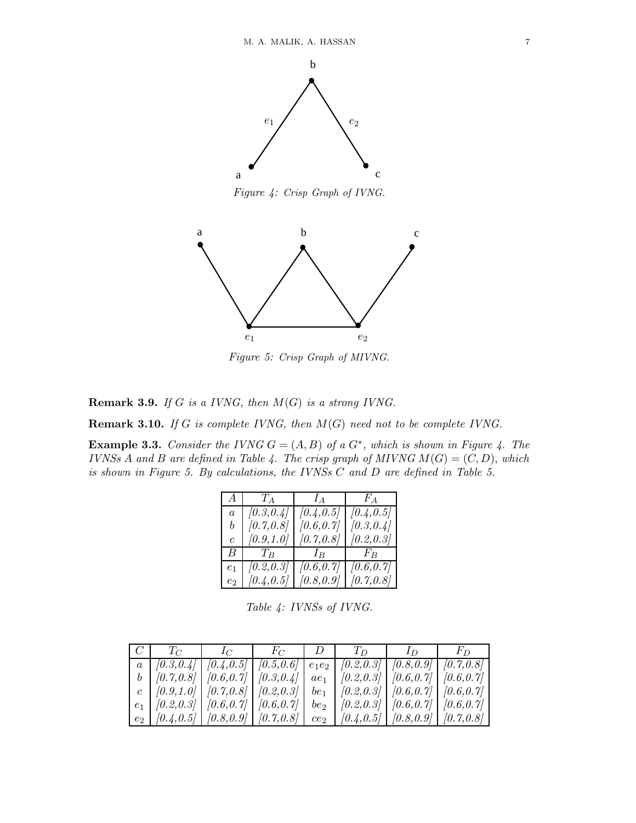

Figure 4: Crisp Graph of IVNG.



Figure 5: Crisp Graph of MIVNG.

**Remark 3.9.** If G is a IVNG, then  $M(G)$  is a strong IVNG.

**Remark 3.10.** If G is complete IVNG, then  $M(G)$  need not to be complete IVNG.

**Example 3.3.** Consider the IVNG  $G = (A, B)$  of a  $G^*$ , which is shown in Figure 4. The IVNSs A and B are defined in Table 4. The crisp graph of MIVNG  $M(G) = (C, D)$ , which is shown in Figure 5. By calculations, the IVNSs C and D are defined in Table 5.

| A <sub>1</sub> | $T_A$      | $I_A$      | $F_A$      |
|----------------|------------|------------|------------|
| $\overline{a}$ | (0.3, 0.4) | [0.4, 0.5] | [0.4, 0.5] |
| b              | [0.7, 0.8] | [0.6, 0.7] | [0.3, 0.4] |
| $\overline{c}$ | [0.9, 1.0] | [0.7, 0.8] | [0.2, 0.3] |
| B.             | $T_B$      | $I_B$      | $F_B$      |
| e <sub>1</sub> | (0.2, 0.3) | [0.6, 0.7] | [0.6, 0.7] |
| $e_{2}$        | [0.4, 0.5] | [0.8, 0.9] | [0.7, 0.8] |

Table 4: IVNSs of IVNG.

| $C \begin{array}{c c c c c c c c} \hline C & T_C & T_C & F_C & D & T_D & I_D & I_D \end{array}$                                                                    |  |  |  |
|--------------------------------------------------------------------------------------------------------------------------------------------------------------------|--|--|--|
| $a \mid [0.3, 0.4] \mid [0.4, 0.5] \mid [0.5, 0.6] \mid e_1e_2 \mid [0.2, 0.3] \mid [0.8, 0.9] \mid [0.7, 0.8]$                                                    |  |  |  |
| $b \mid [0.7, 0.8] \mid [0.6, 0.7] \mid [0.3, 0.4] \mid ae_1 \mid [0.2, 0.3] \mid [0.6, 0.7] \mid [0.6, 0.7]$                                                      |  |  |  |
| c $\left[ (0.9,1.0) \right] \left[ (0.7,0.8) \right] \left[ (0.2,0.3) \right]$ $be_1$ $\left[ (0.2,0.3) \right] \left[ (0.6,0.7) \right] \left[ (0.6,0.7) \right]$ |  |  |  |
| $e_1$ $(0.2, 0.3)$ $(0.6, 0.7)$ $(0.6, 0.7)$ $be_2$ $(0.2, 0.3)$ $(0.6, 0.7)$ $(0.6, 0.7)$                                                                         |  |  |  |
| $e_2$   [0.4,0.5]   [0.8,0.9]   [0.7,0.8]   $ce_2$   [0.4,0.5]   [0.8,0.9]   [0.7,0.8]                                                                             |  |  |  |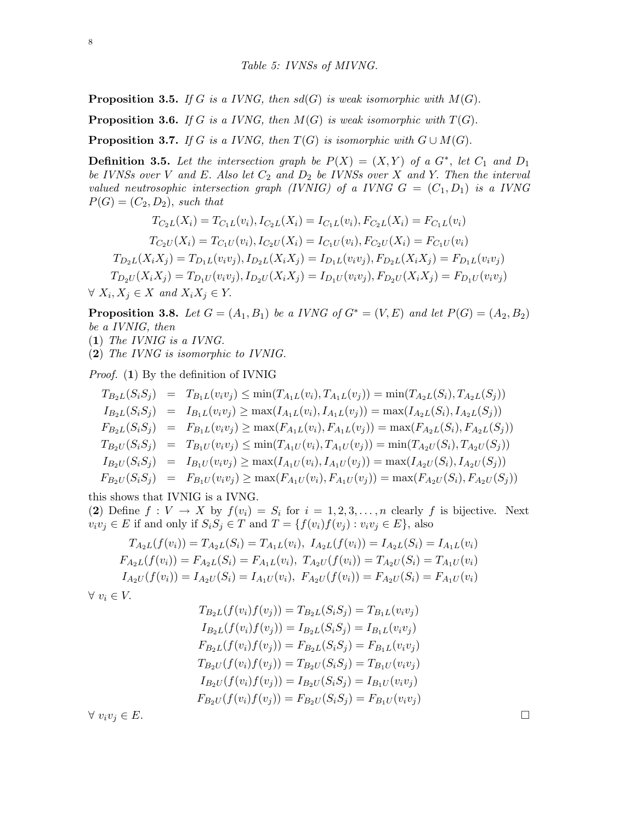**Proposition 3.5.** If G is a IVNG, then  $sd(G)$  is weak isomorphic with  $M(G)$ .

**Proposition 3.6.** If G is a IVNG, then  $M(G)$  is weak isomorphic with  $T(G)$ .

**Proposition 3.7.** If G is a IVNG, then  $T(G)$  is isomorphic with  $G \cup M(G)$ .

**Definition 3.5.** Let the intersection graph be  $P(X) = (X, Y)$  of a  $G^*$ , let  $C_1$  and  $D_1$ be IVNSs over V and E. Also let  $C_2$  and  $D_2$  be IVNSs over X and Y. Then the interval valued neutrosophic intersection graph (IVNIG) of a IVNG  $G = (C_1, D_1)$  is a IVNG  $P(G) = (C_2, D_2)$ , such that

$$
T_{C_2L}(X_i) = T_{C_1L}(v_i), I_{C_2L}(X_i) = I_{C_1L}(v_i), F_{C_2L}(X_i) = F_{C_1L}(v_i)
$$
  
\n
$$
T_{C_2U}(X_i) = T_{C_1U}(v_i), I_{C_2U}(X_i) = I_{C_1U}(v_i), F_{C_2U}(X_i) = F_{C_1U}(v_i)
$$
  
\n
$$
T_{D_2L}(X_iX_j) = T_{D_1L}(v_iv_j), I_{D_2L}(X_iX_j) = I_{D_1L}(v_iv_j), F_{D_2L}(X_iX_j) = F_{D_1L}(v_iv_j)
$$
  
\n
$$
T_{D_2U}(X_iX_j) = T_{D_1U}(v_iv_j), I_{D_2U}(X_iX_j) = I_{D_1U}(v_iv_j), F_{D_2U}(X_iX_j) = F_{D_1U}(v_iv_j)
$$
  
\n
$$
X_i, X_j \in X \text{ and } X_iX_j \in Y.
$$

**Proposition 3.8.** Let  $G = (A_1, B_1)$  be a IVNG of  $G^* = (V, E)$  and let  $P(G) = (A_2, B_2)$ be a IVNIG, then

(1) The IVNIG is a IVNG.

(2) The IVNG is isomorphic to IVNIG.

Proof. (1) By the definition of IVNIG

$$
T_{B_2L}(S_iS_j) = T_{B_1L}(v_iv_j) \le \min(T_{A_1L}(v_i), T_{A_1L}(v_j)) = \min(T_{A_2L}(S_i), T_{A_2L}(S_j))
$$
  
\n
$$
I_{B_2L}(S_iS_j) = I_{B_1L}(v_iv_j) \ge \max(I_{A_1L}(v_i), I_{A_1L}(v_j)) = \max(I_{A_2L}(S_i), I_{A_2L}(S_j))
$$
  
\n
$$
F_{B_2L}(S_iS_j) = F_{B_1L}(v_iv_j) \ge \max(F_{A_1L}(v_i), F_{A_1L}(v_j)) = \max(F_{A_2L}(S_i), F_{A_2L}(S_j))
$$
  
\n
$$
T_{B_2U}(S_iS_j) = T_{B_1U}(v_iv_j) \le \min(T_{A_1U}(v_i), T_{A_1U}(v_j)) = \min(T_{A_2U}(S_i), T_{A_2U}(S_j))
$$
  
\n
$$
I_{B_2U}(S_iS_j) = I_{B_1U}(v_iv_j) \ge \max(I_{A_1U}(v_i), I_{A_1U}(v_j)) = \max(I_{A_2U}(S_i), I_{A_2U}(S_j))
$$
  
\n
$$
F_{B_2U}(S_iS_j) = F_{B_1U}(v_iv_j) \ge \max(F_{A_1U}(v_i), F_{A_1U}(v_j)) = \max(F_{A_2U}(S_i), F_{A_2U}(S_j))
$$

this shows that IVNIG is a IVNG.

(2) Define  $f: V \to X$  by  $f(v_i) = S_i$  for  $i = 1, 2, 3, ..., n$  clearly f is bijective. Next  $v_i v_j \in E$  if and only if  $S_i S_j \in T$  and  $T = \{f(v_i)f(v_j) : v_i v_j \in E\}$ , also

$$
T_{A_2L}(f(v_i)) = T_{A_2L}(S_i) = T_{A_1L}(v_i), I_{A_2L}(f(v_i)) = I_{A_2L}(S_i) = I_{A_1L}(v_i)
$$
  
\n
$$
F_{A_2L}(f(v_i)) = F_{A_2L}(S_i) = F_{A_1L}(v_i), T_{A_2U}(f(v_i)) = T_{A_2U}(S_i) = T_{A_1U}(v_i)
$$
  
\n
$$
I_{A_2U}(f(v_i)) = I_{A_2U}(S_i) = I_{A_1U}(v_i), F_{A_2U}(f(v_i)) = F_{A_2U}(S_i) = F_{A_1U}(v_i)
$$

 $\forall v_i \in V$ .

$$
T_{B_2L}(f(v_i)f(v_j)) = T_{B_2L}(S_iS_j) = T_{B_1L}(v_iv_j)
$$
  
\n
$$
I_{B_2L}(f(v_i)f(v_j)) = I_{B_2L}(S_iS_j) = I_{B_1L}(v_iv_j)
$$
  
\n
$$
F_{B_2L}(f(v_i)f(v_j)) = F_{B_2L}(S_iS_j) = F_{B_1L}(v_iv_j)
$$
  
\n
$$
T_{B_2U}(f(v_i)f(v_j)) = T_{B_2U}(S_iS_j) = T_{B_1U}(v_iv_j)
$$
  
\n
$$
I_{B_2U}(f(v_i)f(v_j)) = I_{B_2U}(S_iS_j) = I_{B_1U}(v_iv_j)
$$
  
\n
$$
F_{B_2U}(f(v_i)f(v_j)) = F_{B_2U}(S_iS_j) = F_{B_1U}(v_iv_j)
$$

 $\forall v_i v_j \in E.$ 

 $\forall$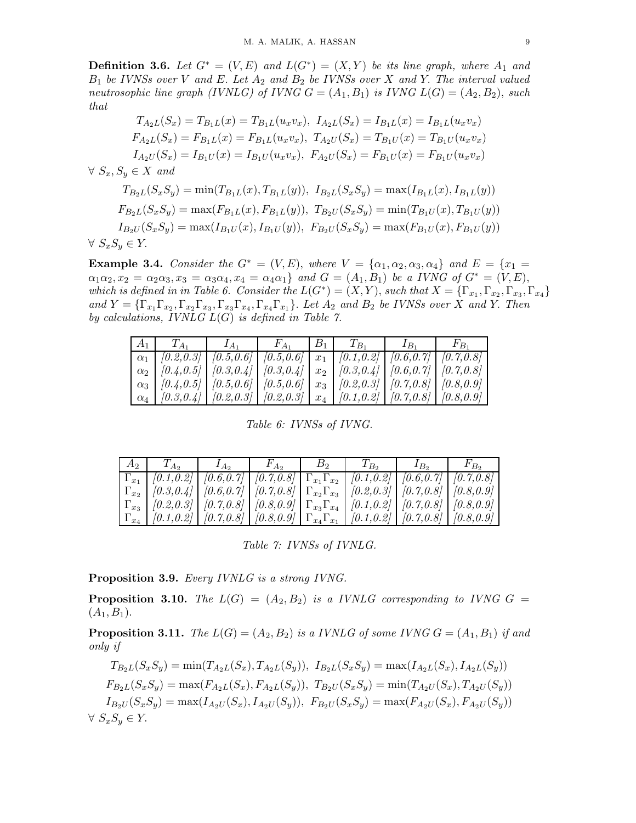**Definition 3.6.** Let  $G^* = (V, E)$  and  $L(G^*) = (X, Y)$  be its line graph, where  $A_1$  and  $B_1$  be IVNSs over V and E. Let  $A_2$  and  $B_2$  be IVNSs over X and Y. The interval valued neutrosophic line graph (IVNLG) of IVNG  $G = (A_1, B_1)$  is IVNG  $L(G) = (A_2, B_2)$ , such that

$$
T_{A_2L}(S_x) = T_{B_1L}(x) = T_{B_1L}(u_xv_x), I_{A_2L}(S_x) = I_{B_1L}(x) = I_{B_1L}(u_xv_x)
$$
  
\n
$$
F_{A_2L}(S_x) = F_{B_1L}(x) = F_{B_1L}(u_xv_x), T_{A_2U}(S_x) = T_{B_1U}(x) = T_{B_1U}(u_xv_x)
$$
  
\n
$$
I_{A_2U}(S_x) = I_{B_1U}(x) = I_{B_1U}(u_xv_x), F_{A_2U}(S_x) = F_{B_1U}(x) = F_{B_1U}(u_xv_x)
$$
  
\n
$$
\forall S_x, S_y \in X \text{ and}
$$
  
\n
$$
T_{B_2L}(S_xS_y) = \min(T_{B_1L}(x), T_{B_1L}(y)), I_{B_2L}(S_xS_y) = \max(I_{B_1L}(x), I_{B_1L}(y))
$$
  
\n
$$
F_{B_2L}(S_xS_y) = \max(F_{B_1L}(x), F_{B_1L}(y)), T_{B_2U}(S_xS_y) = \min(T_{B_1U}(x), T_{B_1U}(y))
$$
  
\n
$$
I_{B_2U}(S_xS_y) = \max(I_{B_1U}(x), I_{B_1U}(y)), F_{B_2U}(S_xS_y) = \max(F_{B_1U}(x), F_{B_1U}(y))
$$
  
\n
$$
\forall S_xS_y \in Y.
$$

**Example 3.4.** Consider the  $G^* = (V, E)$ , where  $V = {\alpha_1, \alpha_2, \alpha_3, \alpha_4}$  and  $E = \{x_1 =$  $\alpha_1\alpha_2, x_2 = \alpha_2\alpha_3, x_3 = \alpha_3\alpha_4, x_4 = \alpha_4\alpha_1$  and  $G = (A_1, B_1)$  be a IVNG of  $G^* = (V, E)$ , which is defined in in Table 6. Consider the  $L(G^*) = (X,Y)$ , such that  $X = {\{\Gamma_{x_1}, \Gamma_{x_2}, \Gamma_{x_3}, \Gamma_{x_4}\}}$ and  $Y = {\{\Gamma_{x_1}\Gamma_{x_2}, \Gamma_{x_2}\Gamma_{x_3}, \Gamma_{x_3}\Gamma_{x_4}, \Gamma_{x_4}\Gamma_{x_1}\}}$ . Let  $A_2$  and  $B_2$  be IVNSs over X and Y. Then by calculations, IVNLG  $L(G)$  is defined in Table 7.

|  | $\alpha_1$ $(0.2, 0.3)$ $(0.5, 0.6)$ $(0.5, 0.6)$ $x_1$ $(0.1, 0.2)$ $(0.6, 0.7)$ $(0.7, 0.8)$                                    |  |  |  |
|--|-----------------------------------------------------------------------------------------------------------------------------------|--|--|--|
|  | $\mid \alpha_2 \mid [0.4, 0.5] \mid [0.3, 0.4] \mid [0.3, 0.4] \mid x_2 \mid [0.3, 0.4] \mid [0.6, 0.7] \mid [0.7, 0.8] \mid$     |  |  |  |
|  | $\mid \alpha_3 \mid [0.4, 0.5] \mid [0.5, 0.6] \mid [0.5, 0.6] \mid x_3 \mid [0.2, 0.3] \mid [0.7, 0.8] \mid [0.8, 0.9] \mid$     |  |  |  |
|  | $\mid \alpha_{4} \mid [0.3, 0.4] \mid [0.2, 0.3] \mid [0.2, 0.3] \mid x_{4} \mid [0.1, 0.2] \mid [0.7, 0.8] \mid [0.8, 0.9] \mid$ |  |  |  |

Table 6: IVNSs of IVNG.

| $\left[ \Gamma_{x_1} \mid [0.1, 0.2] \mid [0.6, 0.7] \mid [0.7, 0.8] \mid \Gamma_{x_1} \Gamma_{x_2} \mid [0.1, 0.2] \mid [0.6, 0.7] \mid [0.7, 0.8] \right]$                                         |  |  |  |
|------------------------------------------------------------------------------------------------------------------------------------------------------------------------------------------------------|--|--|--|
| $\left[ \Gamma_{x_2} \right]$ [0.3,0.4] $\left[ 0.6, 0.7 \right]$ $\left[ 0.7, 0.8 \right]$ $\left[ \Gamma_{x_2} \Gamma_{x_3} \right]$ [0.2,0.3] $\left[ 0.7, 0.8 \right]$ $\left[ 0.8, 0.9 \right]$ |  |  |  |
| $\left[ \Gamma_{x_3} \right]$ [0.2,0.3] $\left[ 0.7, 0.8 \right]$ $\left[ 0.8, 0.9 \right]$ $\left[ \Gamma_{x_3} \Gamma_{x_4} \right]$ [0.1,0.2] $\left[ 0.7, 0.8 \right]$ [0.8,0.9]                 |  |  |  |
| $\left[ \Gamma_{x_4} \right]$ [0.1,0.2] $\left[ 0.7, 0.8 \right]$ $\left[ 0.8, 0.9 \right]$ $\left[ \Gamma_{x_4} \Gamma_{x_1} \right]$ [0.1,0.2] $\left[ 0.7, 0.8 \right]$ $\left[ 0.8, 0.9 \right]$ |  |  |  |

Table 7: IVNSs of IVNLG.

Proposition 3.9. Every IVNLG is a strong IVNG.

**Proposition 3.10.** The  $L(G) = (A_2, B_2)$  is a IVNLG corresponding to IVNG  $G =$  $(A_1, B_1).$ 

**Proposition 3.11.** The  $L(G) = (A_2, B_2)$  is a IVNLG of some IVNG  $G = (A_1, B_1)$  if and only if

$$
T_{B_2L}(S_xS_y) = \min(T_{A_2L}(S_x), T_{A_2L}(S_y)), \ I_{B_2L}(S_xS_y) = \max(I_{A_2L}(S_x), I_{A_2L}(S_y))
$$
  
\n
$$
F_{B_2L}(S_xS_y) = \max(F_{A_2L}(S_x), F_{A_2L}(S_y)), \ T_{B_2U}(S_xS_y) = \min(T_{A_2U}(S_x), T_{A_2U}(S_y))
$$
  
\n
$$
I_{B_2U}(S_xS_y) = \max(I_{A_2U}(S_x), I_{A_2U}(S_y)), \ F_{B_2U}(S_xS_y) = \max(F_{A_2U}(S_x), F_{A_2U}(S_y))
$$
  
\n
$$
\forall S_xS_y \in Y.
$$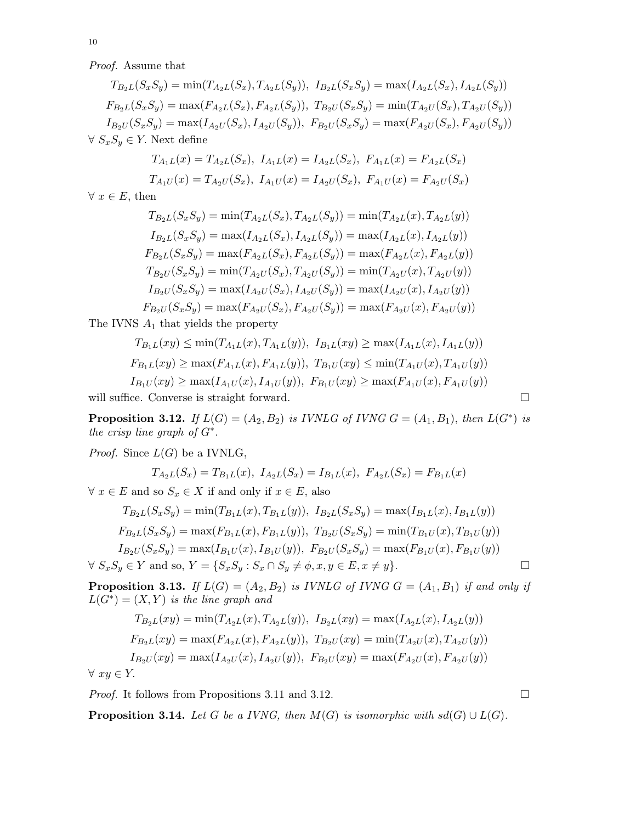Proof. Assume that

 $T_{B_2L}(S_xS_y) = \min(T_{A_2L}(S_x), T_{A_2L}(S_y)), I_{B_2L}(S_xS_y) = \max(I_{A_2L}(S_x), I_{A_2L}(S_y))$  $F_{B_2L}(S_xS_y) = \max(F_{A_2L}(S_x), F_{A_2L}(S_y)), T_{B_2U}(S_xS_y) = \min(T_{A_2U}(S_x), T_{A_2U}(S_y))$  $I_{B_2U}(S_xS_y) = \max(I_{A_2U}(S_x), I_{A_2U}(S_y)), F_{B_2U}(S_xS_y) = \max(F_{A_2U}(S_x), F_{A_2U}(S_y))$  $\forall S_x S_y \in Y$ . Next define

$$
T_{A_1L}(x) = T_{A_2L}(S_x), I_{A_1L}(x) = I_{A_2L}(S_x), F_{A_1L}(x) = F_{A_2L}(S_x)
$$
  

$$
T_{A_1U}(x) = T_{A_2U}(S_x), I_{A_1U}(x) = I_{A_2U}(S_x), F_{A_1U}(x) = F_{A_2U}(S_x)
$$

 $\forall x \in E$ , then

$$
T_{B_2L}(S_xS_y) = \min(T_{A_2L}(S_x), T_{A_2L}(S_y)) = \min(T_{A_2L}(x), T_{A_2L}(y))
$$
  
\n
$$
I_{B_2L}(S_xS_y) = \max(I_{A_2L}(S_x), I_{A_2L}(S_y)) = \max(I_{A_2L}(x), I_{A_2L}(y))
$$
  
\n
$$
F_{B_2L}(S_xS_y) = \max(F_{A_2L}(S_x), F_{A_2L}(S_y)) = \max(F_{A_2L}(x), F_{A_2L}(y))
$$
  
\n
$$
T_{B_2U}(S_xS_y) = \min(T_{A_2U}(S_x), T_{A_2U}(S_y)) = \min(T_{A_2U}(x), T_{A_2U}(y))
$$
  
\n
$$
I_{B_2U}(S_xS_y) = \max(I_{A_2U}(S_x), I_{A_2U}(S_y)) = \max(I_{A_2U}(x), I_{A_2U}(y))
$$
  
\n
$$
F_{B_2U}(S_xS_y) = \max(F_{A_2U}(S_x), F_{A_2U}(S_y)) = \max(F_{A_2U}(x), F_{A_2U}(y))
$$

The IVNS  $A_1$  that yields the property

$$
T_{B_1L}(xy) \le \min(T_{A_1L}(x), T_{A_1L}(y)), \ I_{B_1L}(xy) \ge \max(I_{A_1L}(x), I_{A_1L}(y))
$$
  
\n
$$
F_{B_1L}(xy) \ge \max(F_{A_1L}(x), F_{A_1L}(y)), \ T_{B_1U}(xy) \le \min(T_{A_1U}(x), T_{A_1U}(y))
$$
  
\n
$$
I_{B_1U}(xy) \ge \max(I_{A_1U}(x), I_{A_1U}(y)), \ F_{B_1U}(xy) \ge \max(F_{A_1U}(x), F_{A_1U}(y))
$$

will suffice. Converse is straight forward.

**Proposition 3.12.** If  $L(G) = (A_2, B_2)$  is IVNLG of IVNG  $G = (A_1, B_1)$ , then  $L(G^*)$  is the crisp line graph of  $G^*$ .

*Proof.* Since  $L(G)$  be a IVNLG,

$$
T_{A_2L}(S_x) = T_{B_1L}(x), \ I_{A_2L}(S_x) = I_{B_1L}(x), \ F_{A_2L}(S_x) = F_{B_1L}(x)
$$

 $\forall x \in E$  and so  $S_x \in X$  if and only if  $x \in E$ , also

$$
T_{B_2L}(S_xS_y) = \min(T_{B_1L}(x), T_{B_1L}(y)), \ I_{B_2L}(S_xS_y) = \max(I_{B_1L}(x), I_{B_1L}(y))
$$
  
\n
$$
F_{B_2L}(S_xS_y) = \max(F_{B_1L}(x), F_{B_1L}(y)), \ T_{B_2U}(S_xS_y) = \min(T_{B_1U}(x), T_{B_1U}(y))
$$
  
\n
$$
I_{B_2U}(S_xS_y) = \max(I_{B_1U}(x), I_{B_1U}(y)), \ F_{B_2U}(S_xS_y) = \max(F_{B_1U}(x), F_{B_1U}(y))
$$
  
\n
$$
\forall S_xS_y \in Y \text{ and so, } Y = \{S_xS_y : S_x \cap S_y \neq \phi, x, y \in E, x \neq y\}.
$$

**Proposition 3.13.** If  $L(G) = (A_2, B_2)$  is IVNLG of IVNG  $G = (A_1, B_1)$  if and only if  $L(G^*) = (X, Y)$  is the line graph and

$$
T_{B_2L}(xy) = \min(T_{A_2L}(x), T_{A_2L}(y)), \ I_{B_2L}(xy) = \max(I_{A_2L}(x), I_{A_2L}(y))
$$
  
\n
$$
F_{B_2L}(xy) = \max(F_{A_2L}(x), F_{A_2L}(y)), \ T_{B_2U}(xy) = \min(T_{A_2U}(x), T_{A_2U}(y))
$$
  
\n
$$
I_{B_2U}(xy) = \max(I_{A_2U}(x), I_{A_2U}(y)), \ F_{B_2U}(xy) = \max(F_{A_2U}(x), F_{A_2U}(y))
$$
  
\n
$$
V
$$

 $\forall xy \in Y.$ 

*Proof.* It follows from Propositions 3.11 and 3.12.  $\Box$ 

**Proposition 3.14.** Let G be a IVNG, then  $M(G)$  is isomorphic with sd(G) ∪  $L(G)$ .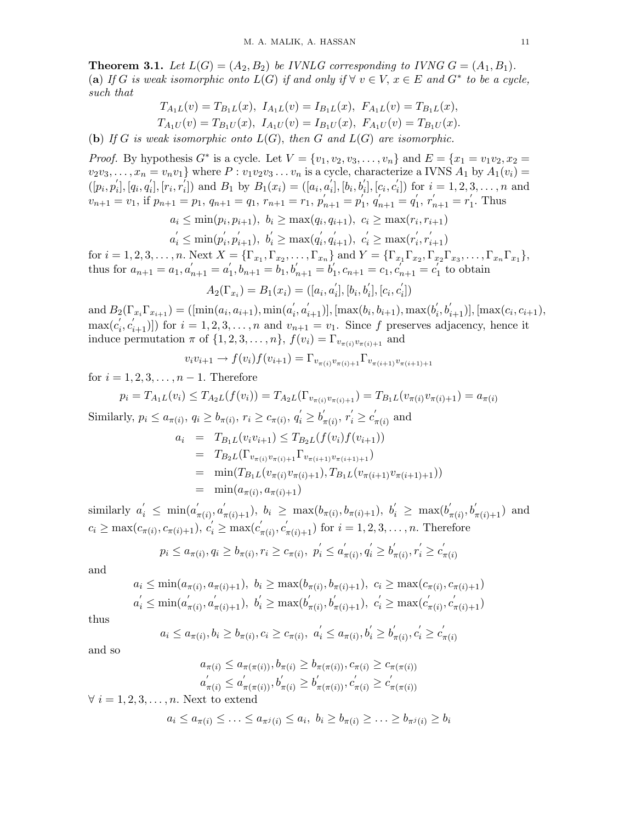**Theorem 3.1.** Let  $L(G) = (A_2, B_2)$  be IVNLG corresponding to IVNG  $G = (A_1, B_1)$ . (a) If G is weak isomorphic onto  $L(G)$  if and only if  $\forall v \in V, x \in E$  and  $G^*$  to be a cycle, such that

$$
T_{A_1L}(v) = T_{B_1L}(x), I_{A_1L}(v) = I_{B_1L}(x), F_{A_1L}(v) = T_{B_1L}(x),
$$
  
\n
$$
T_{A_1U}(v) = T_{B_1U}(x), I_{A_1U}(v) = I_{B_1U}(x), F_{A_1U}(v) = T_{B_1U}(x).
$$

(b) If G is weak isomorphic onto  $L(G)$ , then G and  $L(G)$  are isomorphic.

*Proof.* By hypothesis  $G^*$  is a cycle. Let  $V = \{v_1, v_2, v_3, ..., v_n\}$  and  $E = \{x_1 = v_1v_2, x_2 = v_1v_3, x_3 = v_2v_3, ..., v_n\}$  $v_2v_3, \ldots, x_n = v_nv_1$  where  $P : v_1v_2v_3 \ldots v_n$  is a cycle, characterize a IVNS  $A_1$  by  $A_1(v_i) =$  $\overline{([p_i, p_i']})$  $\int_{i}^{'}$ ,  $\int_{i}^{'}$ ,  $q'_{i}$  $[i], [r_i, r_i]$  $i_1$ ) and  $B_1$  by  $B_1(x_i) = (a_i, a'_i)$  $\tilde{b}_i], [\tilde{b_i}, \tilde{b_i'}]$  $[i], [c_i, c_i]$  $[i]$  for  $i = 1, 2, 3, ..., n$  and  $v_{n+1} = v_1$ , if  $p_{n+1} = p_1$ ,  $q_{n+1} = q_1$ ,  $r_{n+1} = r_1$ ,  $p'_{n+1} = p'_1$  $\sum_{1}^{1}$ ,  $q_{n+1}^{1} = q_1^{1}$  $r'_{n+1} = r'_{1}$  $\int_1$ . Thus

$$
a_i \le \min(p_i, p_{i+1}), b_i \ge \max(q_i, q_{i+1}), c_i \ge \max(r_i, r_{i+1})
$$

 $a'_i \leq \min(p'_i)$  $i, p'_{i+1}), b'_{i} \ge \max(q'_{i})$  $i', q'_{i+1}), c'_i \ge \max(r'_i)$  $i', r'_{i+1})$ 

for  $i = 1, 2, 3, ..., n$ . Next  $X = {\{\Gamma_{x_1}, \Gamma_{x_2}, ..., \Gamma_{x_n}\}}$  and  $Y = {\{\Gamma_{x_1}\Gamma_{x_2}, \Gamma_{x_2}\Gamma_{x_3}, ..., \Gamma_{x_n}\Gamma_{x_1}\}}$ , thus for  $a_{n+1} = a_1, a'_{n+1} = a'_1$  $\sum_{i=1}^{\infty} b_{n+1} = b_1, b'_{n+1} = b'_1$  $C_1, C_{n+1} = C_1, C_{n+1} = C_1$  $\eta_1$  to obtain  $\sqrt{2}$   $\sqrt{2}$   $\sqrt{2}$   $\sqrt{2}$   $\sqrt{2}$ 

$$
A_2(\Gamma_{x_i}) = B_1(x_i) = ([a_i, a'_i], [b_i, b'_i], [c_i, c'_i])
$$

and  $B_2(\Gamma_{x_i}\Gamma_{x_{i+1}}) = (\text{min}(a_i, a_{i+1}), \text{min}(a_i))$  $(i, a'_{i+1})$ ], [max $(b_i, b_{i+1})$ , max $(b'_i)$  $'_{i}, b'_{i+1})$ ], [max $(c_{i}, c_{i+1}),$  $max(c'_i$  $(v_i, c'_{i+1})$ ) for  $i = 1, 2, 3, ..., n$  and  $v_{n+1} = v_1$ . Since f preserves adjacency, hence it induce permutation  $\pi$  of  $\{1, 2, 3, \ldots, n\}$ ,  $f(v_i) = \Gamma_{v_{\pi(i)}v_{\pi(i)+1}}$  and

$$
v_i v_{i+1} \to f(v_i) f(v_{i+1}) = \Gamma_{v_{\pi(i)} v_{\pi(i)+1}} \Gamma_{v_{\pi(i+1)} v_{\pi(i+1)+1}}
$$

for  $i = 1, 2, 3, \ldots, n - 1$ . Therefore

$$
p_i = T_{A_1L}(v_i) \leq T_{A_2L}(f(v_i)) = T_{A_2L}(\Gamma_{v_{\pi(i)}v_{\pi(i)+1}}) = T_{B_1L}(v_{\pi(i)}v_{\pi(i)+1}) = a_{\pi(i)}
$$

Similarly,  $p_i \le a_{\pi(i)}$ ,  $q_i \ge b_{\pi(i)}$ ,  $r_i \ge c_{\pi(i)}$ ,  $q'_i \ge b'_i$  $r'_{\pi(i)}, r'_i \geq c'_i$  $\pi(i)$  and  $a_i = T_{B_i}I(v_i v_{i+1}) \leq T_{B_i}I(f(v_i)f(v_{i+1}))$ 

$$
I = I_{B_1L}(v_i v_{i+1}) \leq I_{B_2L}(J(v_i)J(v_{i+1}))
$$
  
\n
$$
= T_{B_2L}(\Gamma_{v_{\pi(i)}v_{\pi(i)+1}}\Gamma_{v_{\pi(i+1)}v_{\pi(i+1)+1}})
$$
  
\n
$$
= \min(T_{B_1L}(v_{\pi(i)}v_{\pi(i)+1}), T_{B_1L}(v_{\pi(i+1)}v_{\pi(i+1)+1}))
$$
  
\n
$$
= \min(a_{\pi(i)}, a_{\pi(i)+1})
$$

similarly  $a'_i \leq \min(a'_i)$  $\int_{\pi(i)}^{\prime} a'_{\pi(i)+1}$ ,  $b_i \ge \max(b_{\pi(i)}, b_{\pi(i)+1}), b'_i \ge \max(b'_i)$  $b'_{\pi(i)}, b'_{\pi(i)+1})$  and  $c_i \ge \max(c_{\pi(i)}, c_{\pi(i)+1}), c'_i \ge \max(c'_i)$  $\pi_{\pi(i)}, c'_{\pi(i)+1}$ ) for  $i = 1, 2, 3, ..., n$ . Therefore

$$
p_i \le a_{\pi(i)}, q_i \ge b_{\pi(i)}, r_i \ge c_{\pi(i)}, \ p_i' \le a_{\pi(i)}', q_i' \ge b_{\pi(i)}', r_i' \ge c_{\pi(i)}'
$$

and

$$
a_i \le \min(a_{\pi(i)}, a_{\pi(i)+1}), b_i \ge \max(b_{\pi(i)}, b_{\pi(i)+1}), c_i \ge \max(c_{\pi(i)}, c_{\pi(i)+1})
$$
  

$$
a'_i \le \min(a'_{\pi(i)}, a'_{\pi(i)+1}), b'_i \ge \max(b'_{\pi(i)}, b'_{\pi(i)+1}), c'_i \ge \max(c'_{\pi(i)}, c'_{\pi(i)+1})
$$

thus

$$
a_i \leq a_{\pi(i)}, b_i \geq b_{\pi(i)}, c_i \geq c_{\pi(i)}, a'_i \leq a_{\pi(i)}, b'_i \geq b'_{\pi(i)}, c'_i \geq c'_{\pi(i)}
$$

and so

$$
a_{\pi(i)} \le a_{\pi(\pi(i))}, b_{\pi(i)} \ge b_{\pi(\pi(i))}, c_{\pi(i)} \ge c_{\pi(\pi(i))}
$$
  

$$
a'_{\pi(i)} \le a'_{\pi(\pi(i))}, b'_{\pi(i)} \ge b'_{\pi(\pi(i))}, c'_{\pi(i)} \ge c'_{\pi(\pi(i))}
$$

 $\forall i = 1, 2, 3, \ldots, n$ . Next to extend

$$
a_i \leq a_{\pi(i)} \leq \ldots \leq a_{\pi^j(i)} \leq a_i, \ b_i \geq b_{\pi(i)} \geq \ldots \geq b_{\pi^j(i)} \geq b_i
$$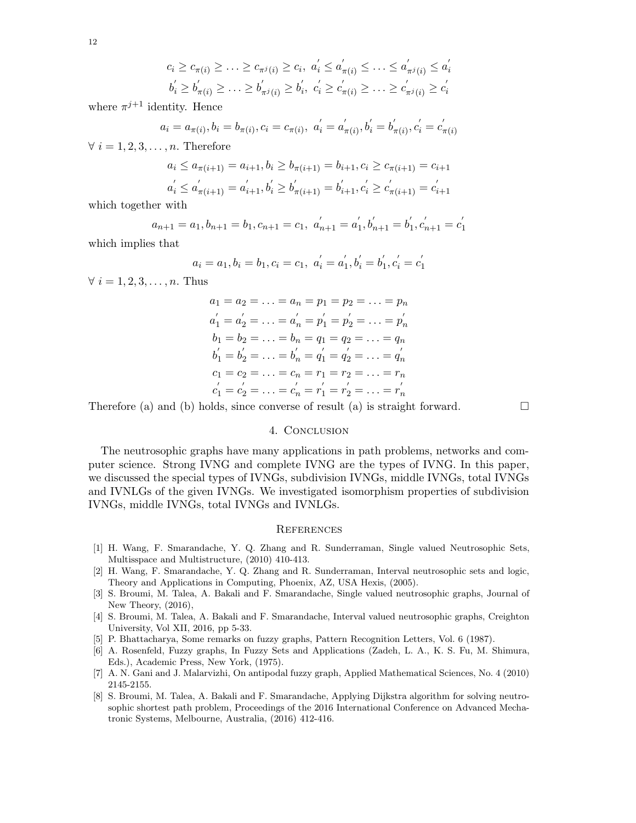$$
c_i \geq c_{\pi(i)} \geq \ldots \geq c_{\pi^j(i)} \geq c_i, \ a'_i \leq a'_{\pi(i)} \leq \ldots \leq a'_{\pi^j(i)} \leq a'_i
$$
  

$$
b'_i \geq b'_{\pi(i)} \geq \ldots \geq b'_{\pi^j(i)} \geq b'_i, \ c'_i \geq c'_{\pi(i)} \geq \ldots \geq c'_{\pi^j(i)} \geq c'_i
$$

where  $\pi^{j+1}$  identity. Hence

$$
a_i = a_{\pi(i)}, b_i = b_{\pi(i)}, c_i = c_{\pi(i)}, \ a'_i = a'_{\pi(i)}, b'_i = b'_{\pi(i)}, c'_i = c'_{\pi(i)}
$$

 $\forall i = 1, 2, 3, \ldots, n$ . Therefore

$$
a_i \le a_{\pi(i+1)} = a_{i+1}, b_i \ge b_{\pi(i+1)} = b_{i+1}, c_i \ge c_{\pi(i+1)} = c_{i+1}
$$
  

$$
a'_i \le a'_{\pi(i+1)} = a'_{i+1}, b'_i \ge b'_{\pi(i+1)} = b'_{i+1}, c'_i \ge c'_{\pi(i+1)} = c'_{i+1}
$$

which together with

$$
a_{n+1} = a_1, b_{n+1} = b_1, c_{n+1} = c_1, a'_{n+1} = a'_1, b'_{n+1} = b'_1, c'_{n+1} = c'_1
$$

which implies that

$$
a_i = a_1, b_i = b_1, c_i = c_1, a'_i = a'_1, b'_i = b'_1, c'_i = c'_1
$$

 $\forall i = 1, 2, 3, \ldots, n$ . Thus

$$
a_1 = a_2 = \dots = a_n = p_1 = p_2 = \dots = p_n
$$
  
\n
$$
a'_1 = a'_2 = \dots = a'_n = p'_1 = p'_2 = \dots = p'_n
$$
  
\n
$$
b_1 = b_2 = \dots = b_n = q_1 = q_2 = \dots = q_n
$$
  
\n
$$
b'_1 = b'_2 = \dots = b'_n = q'_1 = q'_2 = \dots = q'_n
$$
  
\n
$$
c_1 = c_2 = \dots = c_n = r_1 = r_2 = \dots = r_n
$$
  
\n
$$
c'_1 = c'_2 = \dots = c'_n = r'_1 = r'_2 = \dots = r'_n
$$

Therefore (a) and (b) holds, since converse of result (a) is straight forward.  $\square$ 

## 4. Conclusion

The neutrosophic graphs have many applications in path problems, networks and computer science. Strong IVNG and complete IVNG are the types of IVNG. In this paper, we discussed the special types of IVNGs, subdivision IVNGs, middle IVNGs, total IVNGs and IVNLGs of the given IVNGs. We investigated isomorphism properties of subdivision IVNGs, middle IVNGs, total IVNGs and IVNLGs.

#### **REFERENCES**

- [1] H. Wang, F. Smarandache, Y. Q. Zhang and R. Sunderraman, Single valued Neutrosophic Sets, Multisspace and Multistructure, (2010) 410-413.
- [2] H. Wang, F. Smarandache, Y. Q. Zhang and R. Sunderraman, Interval neutrosophic sets and logic, Theory and Applications in Computing, Phoenix, AZ, USA Hexis, (2005).
- [3] S. Broumi, M. Talea, A. Bakali and F. Smarandache, Single valued neutrosophic graphs, Journal of New Theory, (2016),
- [4] S. Broumi, M. Talea, A. Bakali and F. Smarandache, Interval valued neutrosophic graphs, Creighton University, Vol XII, 2016, pp 5-33.
- [5] P. Bhattacharya, Some remarks on fuzzy graphs, Pattern Recognition Letters, Vol. 6 (1987).
- [6] A. Rosenfeld, Fuzzy graphs, In Fuzzy Sets and Applications (Zadeh, L. A., K. S. Fu, M. Shimura, Eds.), Academic Press, New York, (1975).
- [7] A. N. Gani and J. Malarvizhi, On antipodal fuzzy graph, Applied Mathematical Sciences, No. 4 (2010) 2145-2155.
- [8] S. Broumi, M. Talea, A. Bakali and F. Smarandache, Applying Dijkstra algorithm for solving neutrosophic shortest path problem, Proceedings of the 2016 International Conference on Advanced Mechatronic Systems, Melbourne, Australia, (2016) 412-416.